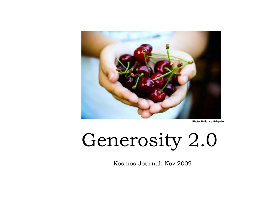

**Photo: Patience Salgado**

## Generosity 2.0

Kosmos Journal, Nov 2009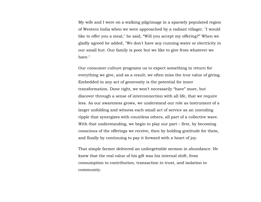My wife and I were on a walking pilgrimage in a sparsely populated region of Western India when we were approached by a radiant villager. "I would like to offer you a meal," he said, "Will you accept my offering?" When we gladly agreed he added, "We don't have any running water or electricity in our small hut. Our family is poor but we like to give from whatever we have."

Our consumer culture programs us to expect something in return for everything we give, and as a result, we often miss the true value of giving. Embedded in any act of generosity is the potential for inner transformation. Done right, we won't necessarily "have" more, but discover through a sense of interconnection with all life, that we require less. As our awareness grows, we understand our role as instrument of a larger unfolding and witness each small act of service as an unending ripple that synergizes with countless others, all part of a collective wave. With that understanding, we begin to play our part – first, by becoming conscious of the offerings we receive, then by holding gratitude for them, and finally by continuing to pay it forward with a heart of joy.

That simple farmer delivered an unforgettable sermon in abundance. He knew that the real value of his gift was his internal shift, from consumption to contribution, transaction to trust, and isolation to community.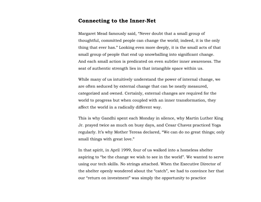## **Connecting to the Inner-Net**

Margaret Mead famously said, "Never doubt that a small group of thoughtful, committed people can change the world; indeed, it is the only thing that ever has." Looking even more deeply, it is the small acts of that small group of people that end up snowballing into significant change. And each small action is predicated on even subtler inner awareness. The seat of authentic strength lies in that intangible space within us.

While many of us intuitively understand the power of internal change, we are often seduced by external change that can be neatly measured, categorized and owned. Certainly, external changes are required for the world to progress but when coupled with an inner transformation, they affect the world in a radically different way.

This is why Gandhi spent each Monday in silence, why Martin Luther King Jr. prayed twice as much on busy days, and Cesar Chavez practiced Yoga regularly. It's why Mother Teresa declared, "We can do no great things; only small things with great love."

In that spirit, in April 1999, four of us walked into a homeless shelter aspiring to "be the change we wish to see in the world". We wanted to serve using our tech skills. No strings attached. When the Executive Director of the shelter openly wondered about the "catch", we had to convince her that our "return on investment" was simply the opportunity to practice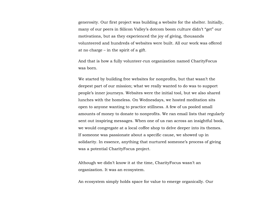generosity. Our first project was building a website for the shelter. Initially, many of our peers in Silicon Valley's dotcom boom culture didn't "get" our motivations, but as they experienced the joy of giving, thousands volunteered and hundreds of websites were built. All our work was offered at no charge – in the spirit of a gift.

And that is how a fully volunteer-run organization named CharityFocus was born.

We started by building free websites for nonprofits, but that wasn't the deepest part of our mission; what we really wanted to do was to support people's inner journeys. Websites were the initial tool, but we also shared lunches with the homeless. On Wednesdays, we hosted meditation sits open to anyone wanting to practice stillness. A few of us pooled small amounts of money to donate to nonprofits. We ran email lists that regularly sent out inspiring messages. When one of us ran across an insightful book, we would congregate at a local coffee shop to delve deeper into its themes. If someone was passionate about a specific cause, we showed up in solidarity. In essence, anything that nurtured someone's process of giving was a potential CharityFocus project.

Although we didn't know it at the time, CharityFocus wasn't an organization. It was an ecosystem.

An ecosystem simply holds space for value to emerge organically. Our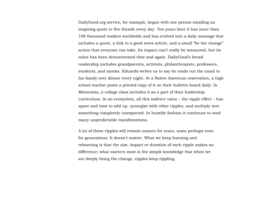DailyGood.org service, for example, began with one person emailing an inspiring quote to five friends every day. Ten years later it has more than 100 thousand readers worldwide and has evolved into a daily message that includes a quote, a link to a good news article, and a small "be the change" action that everyone can take. Its impact can't really be measured, but its value has been demonstrated time and again. DailyGood's broad readership includes grandparents, activists, philanthropists, professors, students, and monks. Eduardo writes us to say he reads out the email to his family over dinner every night. At a Native American reservation, a high school teacher posts a printed copy of it on their bulletin board daily. In Minnesota, a college class includes it as a part of their leadership curriculum. In an ecosystem, all this indirect value – the ripple effect – has space and time to add up, synergize with other ripples, and multiply into something completely unexpected. In humble fashion it continues to seed many unpredictable manifestations.

A lot of these ripples will remain unseen for years, some perhaps even for generations. It doesn't matter. What we keep learning and relearning is that the size, impact or duration of each ripple makes no difference; what matters most is the simple knowledge that when we are deeply being the change, ripples keep rippling.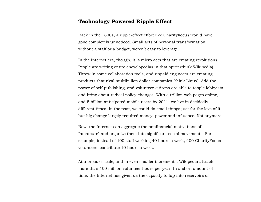## **Technology Powered Ripple Effect**

Back in the 1800s, a ripple-effect effort like CharityFocus would have gone completely unnoticed. Small acts of personal transformation, without a staff or a budget, weren't easy to leverage.

In the Internet era, though, it is micro acts that are creating revolutions. People are writing entire encyclopedias in that spirit (think Wikipedia). Throw in some collaboration tools, and unpaid engineers are creating products that rival multibillion dollar companies (think Linux). Add the power of self-publishing, and volunteer-citizens are able to topple lobbyists and bring about radical policy changes. With a trillion web pages online, and 5 billion anticipated mobile users by 2011, we live in decidedly different times. In the past, we could do small things just for the love of it, but big change largely required money, power and influence. Not anymore.

Now, the Internet can aggregate the nonfinancial motivations of "amateurs" and organize them into significant social movements. For example, instead of 100 staff working 40 hours a week, 400 CharityFocus volunteers contribute 10 hours a week.

At a broader scale, and in even smaller increments, Wikipedia attracts more than 100 million volunteer hours per year. In a short amount of time, the Internet has given us the capacity to tap into reservoirs of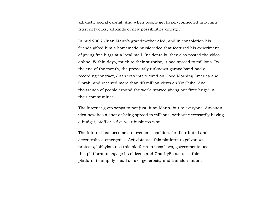altruistic social capital. And when people get hyper-connected into mini trust networks, all kinds of new possibilities emerge.

In mid 2006, Juan Mann's grandmother died, and in consolation his friends gifted him a homemade music video that featured his experiment of giving free hugs at a local mall. Incidentally, they also posted the video online. Within days, much to their surprise, it had spread to millions. By the end of the month, the previously unknown garage band had a recording contract, Juan was interviewed on Good Morning America and Oprah, and received more than 40 million views on YouTube. And thousands of people around the world started giving out "free hugs" in their communities.

The Internet gives wings to not just Juan Mann, but to everyone. Anyone's idea now has a shot at being spread to millions, without necessarily having a budget, staff or a five-year business plan.

The Internet has become a movement machine, for distributed and decentralized emergence. Activists use this platform to galvanize protests, lobbyists use this platform to pass laws, governments use this platform to engage its citizens and CharityFocus uses this platform to amplify small acts of generosity and transformation.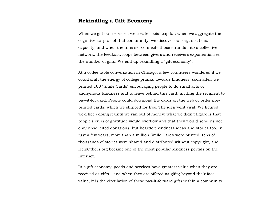## **Rekindling a Gift Economy**

When we gift our services, we create social capital; when we aggregate the cognitive surplus of that community, we discover our organizational capacity; and when the Internet connects those strands into a collective network, the feedback loops between givers and receivers exponentializes the number of gifts. We end up rekindling a "gift economy".

At a coffee table conversation in Chicago, a few volunteers wondered if we could shift the energy of college pranks towards kindness; soon after, we printed 100 "Smile Cards" encouraging people to do small acts of anonymous kindness and to leave behind this card, inviting the recipient to pay-it-forward. People could download the cards on the web or order preprinted cards, which we shipped for free. The idea went viral. We figured we'd keep doing it until we ran out of money; what we didn't figure is that people's cups of gratitude would overflow and that they would send us not only unsolicited donations, but heartfelt kindness ideas and stories too. In just a few years, more than a million Smile Cards were printed, tens of thousands of stories were shared and distributed without copyright, and HelpOthers.org became one of the most popular kindness portals on the Internet.

In a gift economy, goods and services have greatest value when they are received as gifts – and when they are offered as gifts; beyond their face value, it is the circulation of these pay-it-forward gifts within a community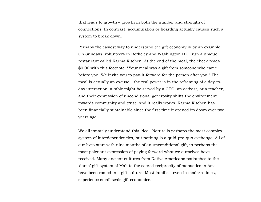that leads to growth – growth in both the number and strength of connections. In contrast, accumulation or hoarding actually causes such a system to break down.

Perhaps the easiest way to understand the gift economy is by an example. On Sundays, volunteers in Berkeley and Washington D.C. run a unique restaurant called Karma Kitchen. At the end of the meal, the check reads \$0.00 with this footnote: "Your meal was a gift from someone who came before you. We invite you to pay-it-forward for the person after you." The meal is actually an excuse – the real power is in the reframing of a day-today interaction: a table might be served by a CEO, an activist, or a teacher, and their expression of unconditional generosity shifts the environment towards community and trust. And it really works. Karma Kitchen has been financially sustainable since the first time it opened its doors over two years ago.

We all innately understand this ideal. Nature is perhaps the most complex system of interdependencies, but nothing is a quid-pro-quo exchange. All of our lives start with nine months of an unconditional gift, in perhaps the most poignant expression of paying forward what we ourselves have received. Many ancient cultures from Native Americans potlatches to the 'dama' gift-system of Mali to the sacred reciprocity of monastics in Asia have been rooted in a gift culture. Most families, even in modern times, experience small scale gift economies.